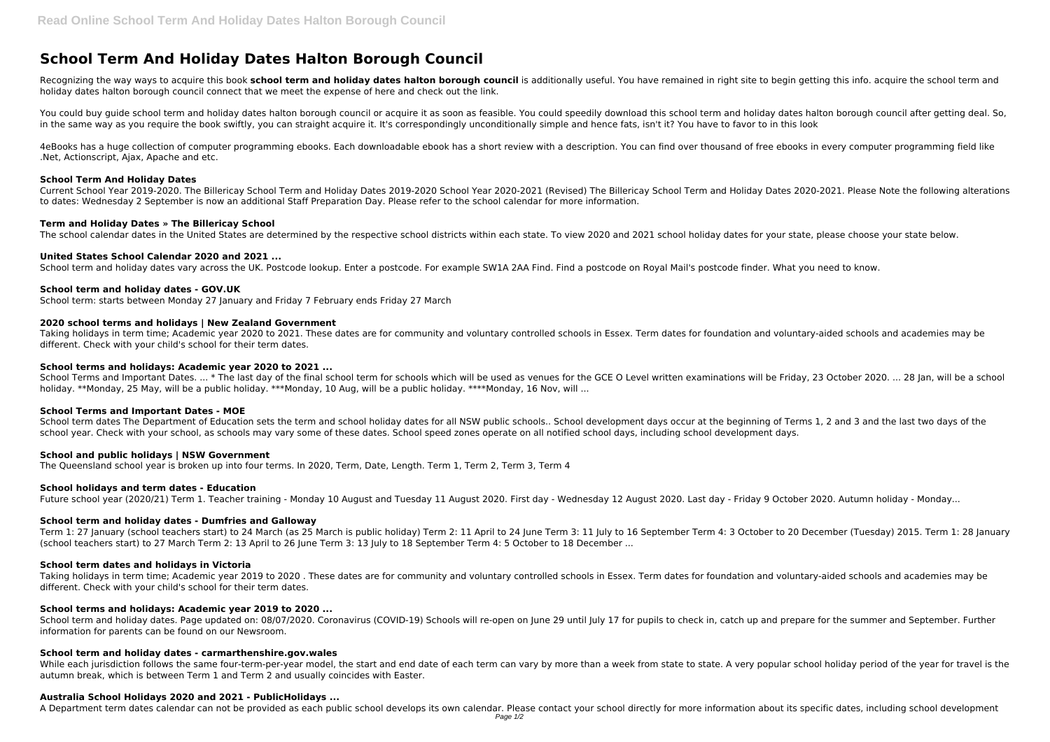# **School Term And Holiday Dates Halton Borough Council**

Recognizing the way ways to acquire this book school term and holiday dates halton borough council is additionally useful. You have remained in right site to begin getting this info. acquire the school term and holiday dates halton borough council connect that we meet the expense of here and check out the link.

You could buy guide school term and holiday dates halton borough council or acquire it as soon as feasible. You could speedily download this school term and holiday dates halton borough council after getting deal. So, in the same way as you require the book swiftly, you can straight acquire it. It's correspondingly unconditionally simple and hence fats, isn't it? You have to favor to in this look

4eBooks has a huge collection of computer programming ebooks. Each downloadable ebook has a short review with a description. You can find over thousand of free ebooks in every computer programming field like .Net, Actionscript, Ajax, Apache and etc.

#### **School Term And Holiday Dates**

Current School Year 2019-2020. The Billericay School Term and Holiday Dates 2019-2020 School Year 2020-2021 (Revised) The Billericay School Term and Holiday Dates 2020-2021. Please Note the following alterations to dates: Wednesday 2 September is now an additional Staff Preparation Day. Please refer to the school calendar for more information.

# **Term and Holiday Dates » The Billericay School**

The school calendar dates in the United States are determined by the respective school districts within each state. To view 2020 and 2021 school holiday dates for your state, please choose your state below.

# **United States School Calendar 2020 and 2021 ...**

School term and holiday dates vary across the UK. Postcode lookup. Enter a postcode. For example SW1A 2AA Find. Find a postcode on Royal Mail's postcode finder. What you need to know.

#### **School term and holiday dates - GOV.UK**

School term: starts between Monday 27 January and Friday 7 February ends Friday 27 March

#### **2020 school terms and holidays | New Zealand Government**

Taking holidays in term time; Academic year 2020 to 2021. These dates are for community and voluntary controlled schools in Essex. Term dates for foundation and voluntary-aided schools and academies may be different. Check with your child's school for their term dates.

School term and holiday dates. Page updated on: 08/07/2020. Coronavirus (COVID-19) Schools will re-open on June 29 until July 17 for pupils to check in, catch up and prepare for the summer and September. Further information for parents can be found on our Newsroom.

#### **School terms and holidays: Academic year 2020 to 2021 ...**

School Terms and Important Dates. ... \* The last day of the final school term for schools which will be used as venues for the GCE O Level written examinations will be Friday, 23 October 2020. ... 28 Jan, will be a school holiday. \*\*Monday, 25 May, will be a public holiday. \*\*\*Monday, 10 Aug, will be a public holiday. \*\*\*\*Monday, 16 Nov, will ...

While each jurisdiction follows the same four-term-per-year model, the start and end date of each term can vary by more than a week from state to state. A very popular school holiday period of the year for travel is the autumn break, which is between Term 1 and Term 2 and usually coincides with Easter.

# **School Terms and Important Dates - MOE**

School term dates The Department of Education sets the term and school holiday dates for all NSW public schools.. School development days occur at the beginning of Terms 1, 2 and 3 and the last two days of the school vear. Check with your school, as schools may vary some of these dates. School speed zones operate on all notified school days, including school development days.

# **School and public holidays | NSW Government**

The Queensland school year is broken up into four terms. In 2020, Term, Date, Length. Term 1, Term 2, Term 3, Term 4

# **School holidays and term dates - Education**

Future school year (2020/21) Term 1. Teacher training - Monday 10 August and Tuesday 11 August 2020. First day - Wednesday 12 August 2020. Last day - Friday 9 October 2020. Autumn holiday - Monday...

# **School term and holiday dates - Dumfries and Galloway**

Term 1: 27 January (school teachers start) to 24 March (as 25 March is public holiday) Term 2: 11 April to 24 June Term 3: 11 July to 16 September Term 4: 3 October to 20 December (Tuesday) 2015. Term 1: 28 January (school teachers start) to 27 March Term 2: 13 April to 26 June Term 3: 13 July to 18 September Term 4: 5 October to 18 December ...

# **School term dates and holidays in Victoria**

Taking holidays in term time; Academic year 2019 to 2020 . These dates are for community and voluntary controlled schools in Essex. Term dates for foundation and voluntary-aided schools and academies may be different. Check with your child's school for their term dates.

# **School terms and holidays: Academic year 2019 to 2020 ...**

# **School term and holiday dates - carmarthenshire.gov.wales**

#### **Australia School Holidays 2020 and 2021 - PublicHolidays ...**

A Department term dates calendar can not be provided as each public school develops its own calendar. Please contact your school directly for more information about its specific dates, including school development